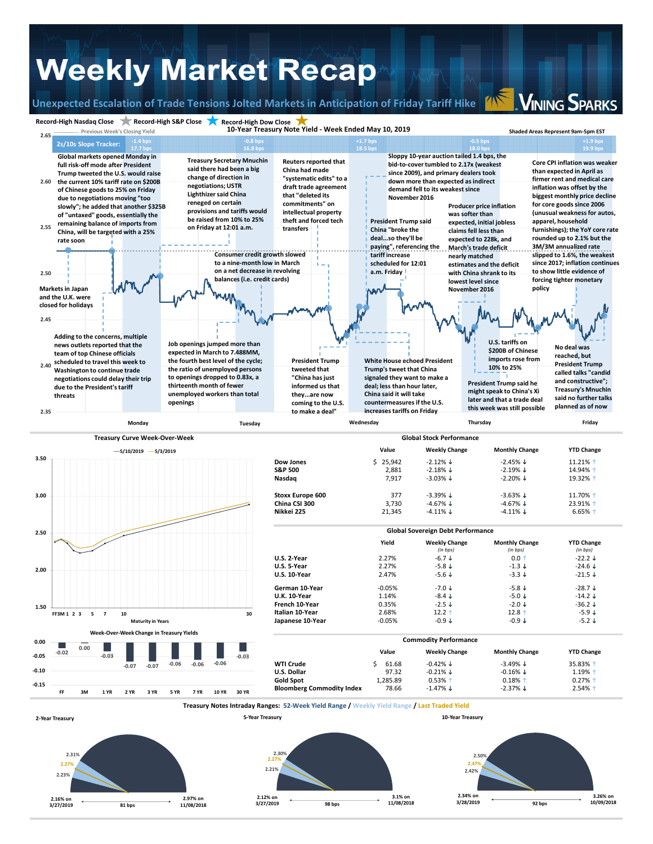## **Weekly Market Recap**

**Record‐High Nasdaq Close Record‐High S&P Close Record‐High Dow Close**

**Unexpected Escalation of Trade Tensions Jolted Markets in Anticipation of Friday Tariff Hike**

**VINING SPARKS**